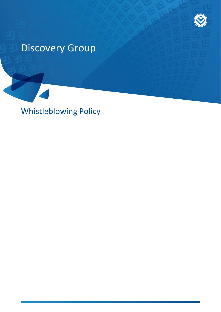# Discovery Group

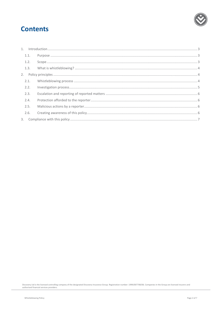

# **Contents**

| 1.1. |  |
|------|--|
| 1.2. |  |
|      |  |
|      |  |
| 2.1. |  |
| 2.2. |  |
| 2.3. |  |
| 2.4. |  |
| 2.5. |  |
| 2.6. |  |
|      |  |
|      |  |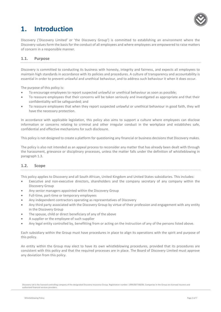

# <span id="page-2-0"></span>**1. Introduction**

Discovery ('Discovery Limited' or 'the Discovery Group') is committed to establishing an environment where the Discovery values form the basis for the conduct of all employees and where employees are empowered to raise matters of concern in a responsible manner.

# <span id="page-2-1"></span>**1.1. Purpose**

Discovery is committed to conducting its business with honesty, integrity and fairness, and expects all employees to maintain high standards in accordance with its policies and procedures. A culture of transparency and accountability is essential in order to prevent unlawful and unethical behaviour, and to address such behaviour it when it does occur.

The purpose of this policy is:

- To encourage employees to report suspected unlawful or unethical behaviour as soon as possible;
- To reassure employees that their concerns will be taken seriously and investigated as appropriate and that their confidentiality will be safeguarded; and
- To reassure employees that when they report suspected unlawful or unethical behaviour in good faith, they will have the necessary protection.

In accordance with applicable legislation, this policy also aims to support a culture where employees can disclose information or concerns relating to criminal and other irregular conduct in the workplace and establishes safe, confidential and effective mechanisms for such disclosure.

This policy is not designed to create a platform for questioning any financial or business decisions that Discovery makes.

The policy is also not intended as an appeal process to reconsider any matter that has already been dealt with through the harassment, grievance or disciplinary processes, unless the matter falls under the definition of whistleblowing in paragraph 1.3.

### <span id="page-2-2"></span>**1.2. Scope**

This policy applies to Discovery and all South African, United Kingdom and United States subsidiaries. This includes:

- Executive and non-executive directors, shareholders and the company secretary of any company within the Discovery Group
- Any senior managers appointed within the Discovery Group
- Full-time, part-time or temporary employees
- Any independent contractors operating as representatives of Discovery
- Any third party associated with the Discovery Group by virtue of their profession and engagement with any entity in the Discovery Group
- The spouse, child or direct beneficiary of any of the above
- A supplier or the employee of such supplier
- Any legal entity controlled by, benefitting from or acting on the instruction of any of the persons listed above.

Each subsidiary within the Group must have procedures in place to align its operations with the spirit and purpose of this policy.

An entity within the Group may elect to have its own whistleblowing procedures, provided that its procedures are consistent with this policy and that the required processes are in place. The Board of Discovery Limited must approve any deviation from this policy.

Discovery Ltd is the licensed controlling company of the designated Discovery Insurance Group. Registration number: 1999/007789/06. Companies in the Group are licensed insurers and authorised financial services providers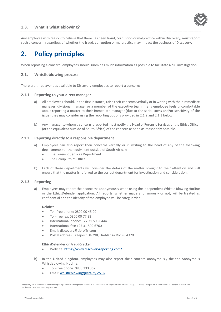<span id="page-3-0"></span>

Any employee with reason to believe that there has been fraud, corruption or malpractice within Discovery, must report such a concern, regardless of whether the fraud, corruption or malpractice may impact the business of Discovery.

# <span id="page-3-1"></span>**2. Policy principles**

<span id="page-3-2"></span>When reporting a concern, employees should submit as much information as possible to facilitate a full investigation.

### **2.1. Whistleblowing process**

There are three avenues available to Discovery employees to report a concern:

#### **2.1.1. Reporting to your direct manager**

- a) All employees should, in the first instance, raise their concerns verbally or in writing with their immediate manager, divisional manager or a member of the executive team. If any employee feels uncomfortable about reporting a matter to their immediate manager (due to the seriousness and/or sensitivity of the issue) they may consider using the reporting options provided in 2.1.2 and 2.1.3 below.
- b) Any manager to whom a concern is reported must notify the Head of Forensic Services or the Ethics Officer (or the equivalent outside of South Africa) of the concern as soon as reasonably possible.

#### **2.1.2. Reporting directly to a responsible department**

- a) Employees can also report their concerns verbally or in writing to the head of any of the following departments (or the equivalent outside of South Africa):
	- The Forensic Services Department
	- The Group Ethics Office
- b) Each of these departments will consider the details of the matter brought to their attention and will ensure that the matter is referred to the correct department for investigation and consideration.

#### **2.1.3. Reporting**

a) Employees may report their concerns anonymously when using the independent Whistle Blowing Hotline or the EthicsDefender application. All reports, whether made anonymously or not, will be treated as confidential and the identity of the employee will be safeguarded.

#### **Deloitte**

- Toll-free phone: 0800 00 45 00
- Toll-free fax: 0800 00 77 88
- International phone: +27 31 508 6444
- International fax: +27 31 502 6760
- Email: discovery@tip-offs.com
- Postal address: Freepost DN298, Umhlanga Rocks, 4320

#### **EthicsDefender or FraudCracker**

- Website: <https://www.discoveryreporting.com/>
- b) In the United Kingdom, employees may also report their concern anonymously the the Anonymous Whistleblowing Hotline:
	- Toll-free phone: 0800 333 362
	- **Email:** [whistleblowing@vitality.co.uk](mailto:whistleblowing@vitality.co.uk)

Discovery Ltd is the licensed controlling company of the designated Discovery Insurance Group. Registration number: 1999/007789/06. Companies in the Group are licensed insurers and authorised financial services providers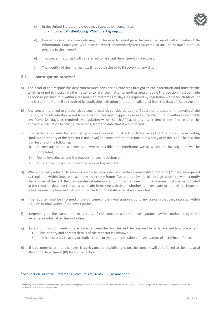

- c) In the United States, employees may report their concern to:
	- Email: Whistleblowing VGI@Vitalitygroup.com
- d) Concerns raised anonymously may not be easy to investigate, because the reports often contain little information. Employees who elect to report anonymously are requested to include as much detail as possible in their report.
- e) The concern reported will be referred to relevant department in Discovery.
- f) The identity of the informant will not be disclosed to Discovery at any time.

#### <span id="page-4-0"></span>**2.2. Investigation process<sup>1</sup>**

- a) The head of the responsible department must consider all concerns brought to their attention and must decide whether or not to investigate the matter or to refer the matter to another area or body. This decision must be made as soon as possible, but within a reasonable timeframe (21 days, as required by regulation within South Africa, or any lesser time frame if so required by applicable legislation in other jurisdictions) from the date of the disclosure.
- b) Any concern referred to another department must be considered by that Department, based on the merits of the matter, to decide whether or not to investigate. This must happen as soon as possible, but also within a reasonable timeframe (21 days, as required by regulation within South Africa, or any lesser time frame if so required by applicable legislation in other jurisdictions) from the date that it was referred.
- c) The party responsible for considering a concern raised must acknowledge receipt of the disclosure in writing (unless the identity of the reporter is unknown) and must inform the reporter in writing of its decision. The decision can be one of the following:
	- i) To investigate the concern and, where possible, the timeframe within which the investigation will be completed;
	- ii) Not to investigate, and the reasons for such decision; or
	- iii) To refer the disclosure to another area or Department.
- d) Where the party referred to above is unable to make a decision within a reasonable timeframe (21 days, as required by regulation within South Africa, or any lesser time frame if so required by applicable legislation), they must notify the reporter of the fact. Regular updates (at intervals of not more than one month at a time) must also be provided to the reporter detailing the progress made in making a decision whether to investigate or not. All decisions on concerns must be finalised within six months from the date when it was reported.
- e) The reporter must be informed of the outcome of the investigation around any concern that they reported within 14 days of finalisation of the investigation.
- f) Depending on the nature and materiality of the concern, a formal investigation may be conducted by either external or internal parties or bodies.
- g) No communication needs to take place between the reporter and the responsible party referred to above when:
	- The identity and contact details of the reporter is unknown
	- If it is necessary to avoid prejudice to the prevention, detection or investigation of a criminal offence.
- h) If it becomes clear that a concern is a grievance or disciplinary issue, the concern will be referred to the Industrial Relations Department (IR) for further action.

#### <sup>1</sup> See section 3B of the Protected Disclosure Act 26 of 2000, as amended

 $\overline{a}$ 

Discovery Ltd is the licensed controlling company of the designated Discovery Insurance Group. Registration number: 1999/007789/06. Companies in the Group are licensed insurers and authorised financial services providers.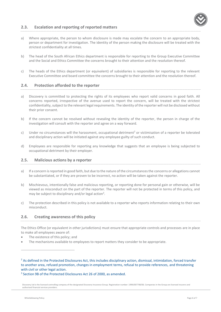

## <span id="page-5-0"></span>**2.3. Escalation and reporting of reported matters**

- a) Where appropriate, the person to whom disclosure is made may escalate the concern to an appropriate body, person or department for investigation. The identity of the person making the disclosure will be treated with the strictest confidentiality at all times.
- b) The head of the South African Ethics department is responsible for reporting to the Group Executive Committee and the Social and Ethics Committee the concerns brought to their attention and the resolution thereof.
- c) The heads of the Ethics department (or equivalent) of subsidiaries is responsible for reporting to the relevant Executive Committee and board committee the concerns brought to their attention and the resolution thereof.

### <span id="page-5-1"></span>**2.4. Protection afforded to the reporter**

- a) Discovery is committed to protecting the rights of its employees who report valid concerns in good faith. All concerns reported, irrespective of the avenue used to report the concern, will be treated with the strictest confidentiality, subject to the relevant legal requirements. The identity of the reporter will not be disclosed without their prior consent.
- b) If the concern cannot be resolved without revealing the identity of the reporter, the person in charge of the investigation will consult with the reporter and agree on a way forward.
- c) Under no circumstances will the harassment, occupational detriment<sup>2</sup> or victimisation of a reporter be tolerated and disciplinary action will be initiated against any employee guilty of such conduct.
- d) Employees are responsible for reporting any knowledge that suggests that an employee is being subjected to occupational detriment by their employer.

# <span id="page-5-2"></span>**2.5. Malicious actions by a reporter**

- a) If a concern is reported in good faith, but due to the nature of the circumstances the concerns or allegations cannot be substantiated, or if they are proven to be incorrect, no action will be taken against the reporter.
- b) Mischievous, intentionally false and malicious reporting, or reporting done for personal gain or otherwise, will be viewed as misconduct on the part of the reporter. The reporter will not be protected in terms of this policy, and may be subject to disciplinary and/or legal action<sup>3</sup>.
- c) The protection described in this policy is not available to a reporter who reports information relating to their own misconduct.

### <span id="page-5-3"></span>**2.6. Creating awareness of this policy**

The Ethics Office (or equivalent in other jurisdictions) must ensure that appropriate controls and processes are in place to make all employees aware of:

- The existence of this policy; and
- The mechanisms available to employees to report matters they consider to be appropriate.

<sup>2</sup> As defined in the Protected Disclosures Act, this includes disciplinary action, dismissal, intimidation, forced transfer to another area, refused promotion, changes in employment terms, refusal to provide references, and threatening with civil or other legal action.

 $\overline{a}$ 

<sup>&</sup>lt;sup>3</sup> Section 9B of the Protected Disclosures Act 26 of 2000, as amended.

Discovery Ltd is the licensed controlling company of the designated Discovery Insurance Group. Registration number: 1999/007789/06. Companies in the Group are licensed insurers and authorised financial services providers.